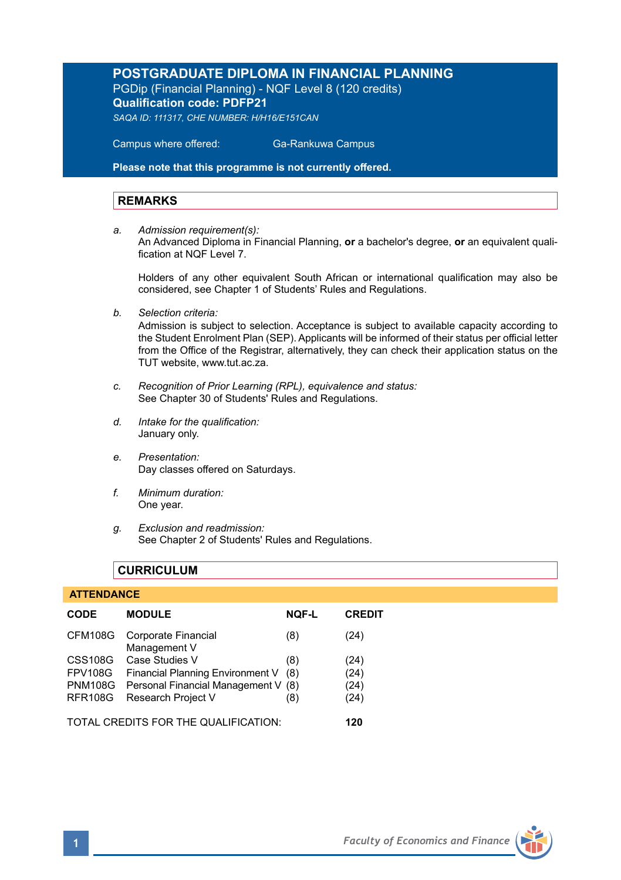## **POSTGRADUATE DIPLOMA IN FINANCIAL PLANNING** PGDip (Financial Planning) - NQF Level 8 (120 credits) **Qualification code: PDFP21**

*SAQA ID: 111317, CHE NUMBER: H/H16/E151CAN* 

 Campus where offered: Ga-Rankuwa Campus

**Please note that this programme is not currently offered.** 

#### **REMARKS**

*a. Admission requirement(s):* 

An Advanced Diploma in Financial Planning, **or** a bachelor's degree, **or** an equivalent qualification at NOF Level 7

Holders of any other equivalent South African or international qualification may also be considered, see Chapter 1 of Students' Rules and Regulations.

*b. Selection criteria:*

Admission is subject to selection. Acceptance is subject to available capacity according to the Student Enrolment Plan (SEP). Applicants will be informed of their status per official letter from the Office of the Registrar, alternatively, they can check their application status on the TUT website, www.tut.ac.za.

- *c. Recognition of Prior Learning (RPL), equivalence and status:* See Chapter 30 of Students' Rules and Regulations.
- *d. Intake for the qualification:* January only.
- *e. Presentation:* Day classes offered on Saturdays.
- *f. Minimum duration:* One year.
- *g. Exclusion and readmission:* See Chapter 2 of Students' Rules and Regulations.

## **CURRICULUM**

#### **ATTENDANCE**

| <b>CODE</b>                          | <b>MODULE</b>                               | <b>NOF-L</b> | <b>CREDIT</b> |
|--------------------------------------|---------------------------------------------|--------------|---------------|
| CFM108G                              | Corporate Financial<br>Management V         | (8)          | (24)          |
| <b>CSS108G</b>                       | Case Studies V                              | (8)          | (24)          |
| FPV108G                              | Financial Planning Environment V            | (8)          | (24)          |
|                                      | PNM108G Personal Financial Management V (8) |              | (24)          |
| <b>RFR108G</b>                       | Research Project V                          | (8)          | (24)          |
| TOTAL CREDITS FOR THE QUALIFICATION: |                                             |              | 120           |